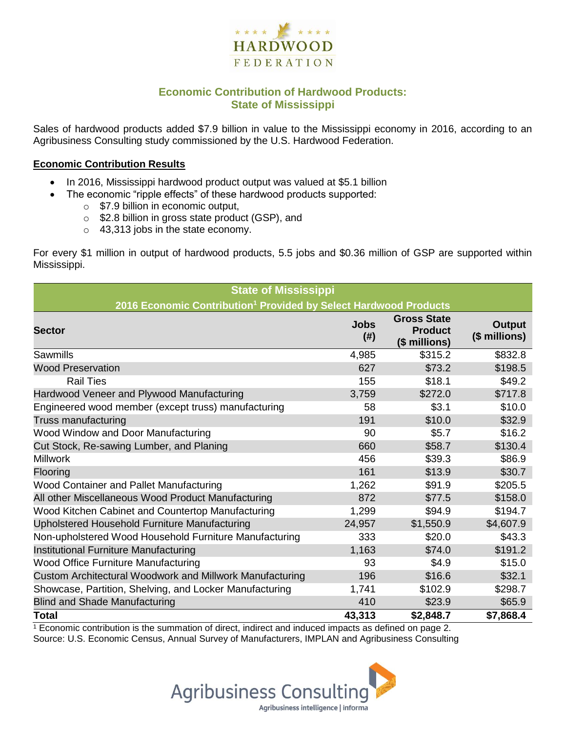

# **Economic Contribution of Hardwood Products: State of Mississippi**

Sales of hardwood products added \$7.9 billion in value to the Mississippi economy in 2016, according to an Agribusiness Consulting study commissioned by the U.S. Hardwood Federation.

#### **Economic Contribution Results**

- In 2016, Mississippi hardwood product output was valued at \$5.1 billion
	- The economic "ripple effects" of these hardwood products supported:
		- o \$7.9 billion in economic output,
		- o \$2.8 billion in gross state product (GSP), and
		- o 43,313 jobs in the state economy.

For every \$1 million in output of hardwood products, 5.5 jobs and \$0.36 million of GSP are supported within Mississippi.

| <b>State of Mississippi</b>                                                  |                     |                                                       |                         |  |  |  |  |
|------------------------------------------------------------------------------|---------------------|-------------------------------------------------------|-------------------------|--|--|--|--|
| 2016 Economic Contribution <sup>1</sup> Provided by Select Hardwood Products |                     |                                                       |                         |  |  |  |  |
| <b>Sector</b>                                                                | <b>Jobs</b><br>(# ) | <b>Gross State</b><br><b>Product</b><br>(\$ millions) | Output<br>(\$ millions) |  |  |  |  |
| Sawmills                                                                     | 4,985               | \$315.2                                               | \$832.8                 |  |  |  |  |
| <b>Wood Preservation</b>                                                     | 627                 | \$73.2                                                | \$198.5                 |  |  |  |  |
| <b>Rail Ties</b>                                                             | 155                 | \$18.1                                                | \$49.2                  |  |  |  |  |
| Hardwood Veneer and Plywood Manufacturing                                    | 3,759               | \$272.0                                               | \$717.8                 |  |  |  |  |
| Engineered wood member (except truss) manufacturing                          | 58                  | \$3.1                                                 | \$10.0                  |  |  |  |  |
| Truss manufacturing                                                          | 191                 | \$10.0                                                | \$32.9                  |  |  |  |  |
| Wood Window and Door Manufacturing                                           | 90                  | \$5.7                                                 | \$16.2                  |  |  |  |  |
| Cut Stock, Re-sawing Lumber, and Planing                                     | 660                 | \$58.7                                                | \$130.4                 |  |  |  |  |
| <b>Millwork</b>                                                              | 456                 | \$39.3                                                | \$86.9                  |  |  |  |  |
| Flooring                                                                     | 161                 | \$13.9                                                | \$30.7                  |  |  |  |  |
| Wood Container and Pallet Manufacturing                                      | 1,262               | \$91.9                                                | \$205.5                 |  |  |  |  |
| All other Miscellaneous Wood Product Manufacturing                           | 872                 | \$77.5                                                | \$158.0                 |  |  |  |  |
| Wood Kitchen Cabinet and Countertop Manufacturing                            | 1,299               | \$94.9                                                | \$194.7                 |  |  |  |  |
| Upholstered Household Furniture Manufacturing                                | 24,957              | \$1,550.9                                             | \$4,607.9               |  |  |  |  |
| Non-upholstered Wood Household Furniture Manufacturing                       | 333                 | \$20.0                                                | \$43.3                  |  |  |  |  |
| Institutional Furniture Manufacturing                                        | 1,163               | \$74.0                                                | \$191.2                 |  |  |  |  |
| <b>Wood Office Furniture Manufacturing</b>                                   | 93                  | \$4.9                                                 | \$15.0                  |  |  |  |  |
| Custom Architectural Woodwork and Millwork Manufacturing                     | 196                 | \$16.6                                                | \$32.1                  |  |  |  |  |
| Showcase, Partition, Shelving, and Locker Manufacturing                      | 1,741               | \$102.9                                               | \$298.7                 |  |  |  |  |
| <b>Blind and Shade Manufacturing</b>                                         | 410                 | \$23.9                                                | \$65.9                  |  |  |  |  |
| <b>Total</b>                                                                 | 43,313              | \$2,848.7                                             | \$7,868.4               |  |  |  |  |

 $1$  Economic contribution is the summation of direct, indirect and induced impacts as defined on page 2. Source: U.S. Economic Census, Annual Survey of Manufacturers, IMPLAN and Agribusiness Consulting